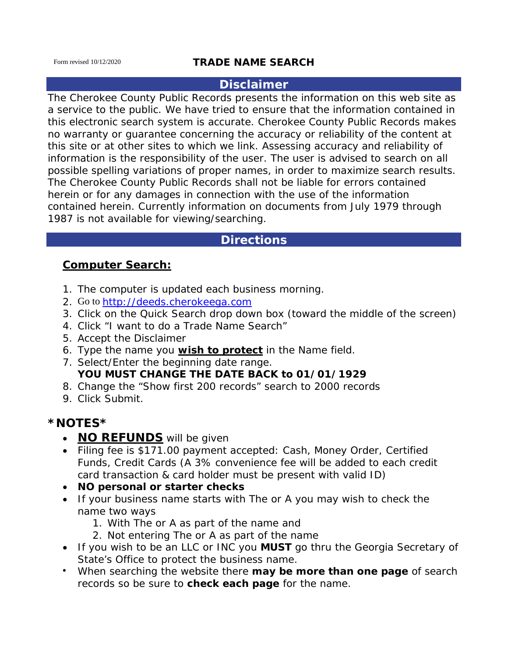## **TRADE NAME SEARCH**

#### **Disclaimer**

The Cherokee County Public Records presents the information on this web site as a service to the public. We have tried to ensure that the information contained in this electronic search system is accurate. Cherokee County Public Records makes no warranty or guarantee concerning the accuracy or reliability of the content at this site or at other sites to which we link. Assessing accuracy and reliability of information is the responsibility of the user. The user is advised to search on all possible spelling variations of proper names, in order to maximize search results. The Cherokee County Public Records shall not be liable for errors contained herein or for any damages in connection with the use of the information contained herein. Currently information on documents from July 1979 through 1987 is not available for viewing/searching.

# **Directions**

## **Computer Search:**

- 1. The computer is updated each business morning.
- 2. Go to [http://deeds.cherokeega.com](http://deeds.cherokeega.com/)
- 3. Click on the Quick Search drop down box (toward the middle of the screen)
- 4. Click "I want to do a Trade Name Search"
- 5. Accept the Disclaimer
- 6. Type the name you **wish to protect** in the *Name* field.
- 7. Select/Enter the beginning date range. **YOU MUST CHANGE THE DATE BACK to 01/01/1929**
- 8. Change the "Show first 200 records" search to 2000 records
- 9. Click *Submit*.

# **\*NOTES\***

- **NO REFUNDS** will be given
- Filing fee is \$171.00 payment accepted: Cash, Money Order, Certified Funds, Credit Cards (A 3% convenience fee will be added to each credit card transaction & card holder must be present with valid ID)
- **NO personal or starter checks**
- If your business name starts with *The* or *A* you may wish to check the name two ways
	- 1. With *The* or *A* as part of the name and
	- 2. *Not* entering *The* or *A* as part of the name
- If you wish to be an *LLC* or *INC* you *MUST* go thru the Georgia Secretary of State's Office to protect the business name.
- When searching the website there **may be more than one page** of search records so be sure to **check each page** for the name.